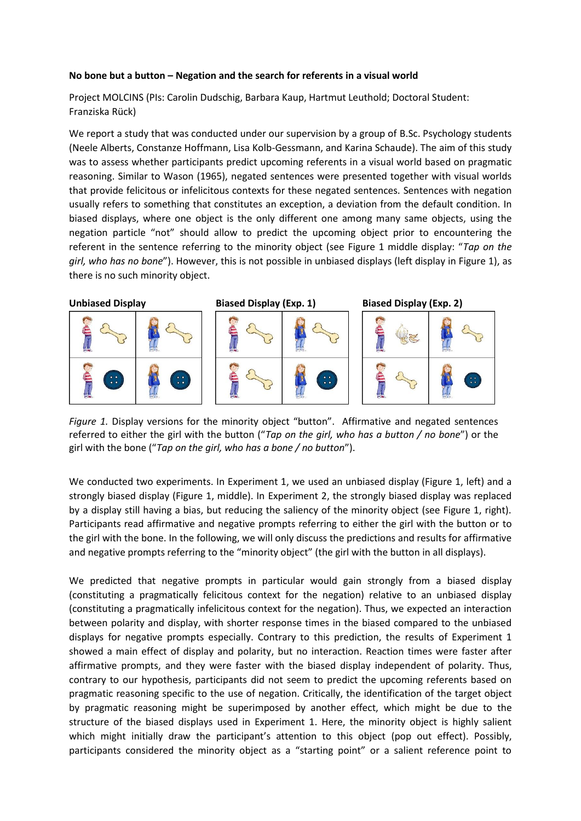## **No bone but a button – Negation and the search for referents in a visual world**

Project MOLCINS (PIs: Carolin Dudschig, Barbara Kaup, Hartmut Leuthold; Doctoral Student: Franziska Rück)

We report a study that was conducted under our supervision by a group of B.Sc. Psychology students (Neele Alberts, Constanze Hoffmann, Lisa Kolb-Gessmann, and Karina Schaude). The aim of this study was to assess whether participants predict upcoming referents in a visual world based on pragmatic reasoning. Similar to Wason (1965), negated sentences were presented together with visual worlds that provide felicitous or infelicitous contexts for these negated sentences. Sentences with negation usually refers to something that constitutes an exception, a deviation from the default condition. In biased displays, where one object is the only different one among many same objects, using the negation particle "not" should allow to predict the upcoming object prior to encountering the referent in the sentence referring to the minority object (see Figure 1 middle display: "*Tap on the girl, who has no bone*"). However, this is not possible in unbiased displays (left display in Figure 1), as there is no such minority object.



*Figure 1.* Display versions for the minority object "button". Affirmative and negated sentences referred to either the girl with the button ("*Tap on the girl, who has a button / no bone*") or the girl with the bone ("*Tap on the girl, who has a bone / no button*").

We conducted two experiments. In Experiment 1, we used an unbiased display (Figure 1, left) and a strongly biased display (Figure 1, middle). In Experiment 2, the strongly biased display was replaced by a display still having a bias, but reducing the saliency of the minority object (see Figure 1, right). Participants read affirmative and negative prompts referring to either the girl with the button or to the girl with the bone. In the following, we will only discuss the predictions and results for affirmative and negative prompts referring to the "minority object" (the girl with the button in all displays).

We predicted that negative prompts in particular would gain strongly from a biased display (constituting a pragmatically felicitous context for the negation) relative to an unbiased display (constituting a pragmatically infelicitous context for the negation). Thus, we expected an interaction between polarity and display, with shorter response times in the biased compared to the unbiased displays for negative prompts especially. Contrary to this prediction, the results of Experiment 1 showed a main effect of display and polarity, but no interaction. Reaction times were faster after affirmative prompts, and they were faster with the biased display independent of polarity. Thus, contrary to our hypothesis, participants did not seem to predict the upcoming referents based on pragmatic reasoning specific to the use of negation. Critically, the identification of the target object by pragmatic reasoning might be superimposed by another effect, which might be due to the structure of the biased displays used in Experiment 1. Here, the minority object is highly salient which might initially draw the participant's attention to this object (pop out effect). Possibly, participants considered the minority object as a "starting point" or a salient reference point to